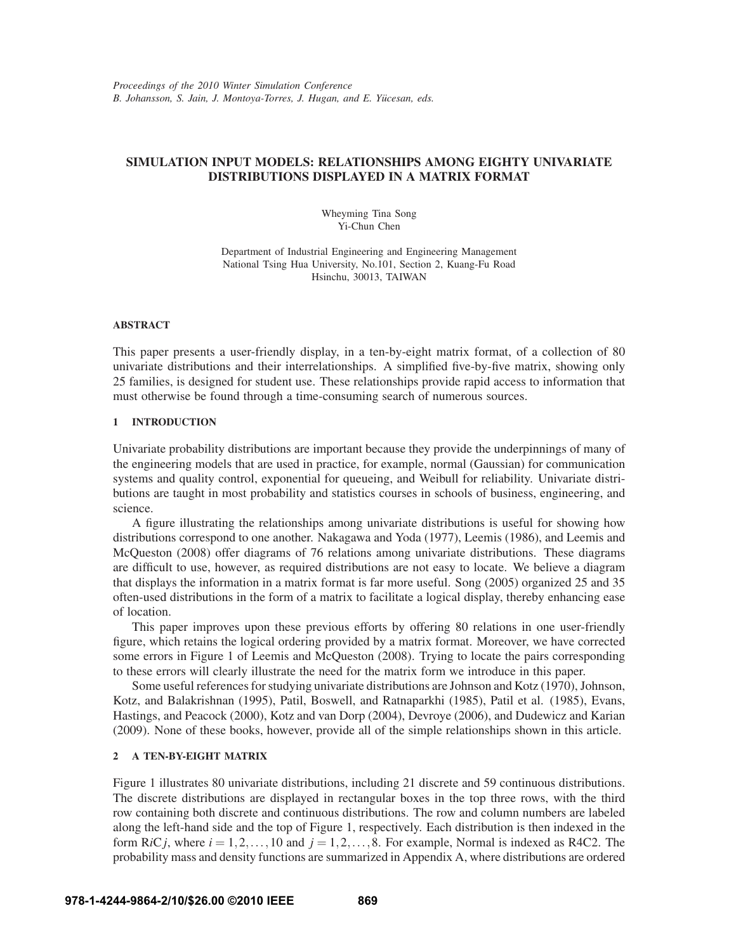# **SIMULATION INPUT MODELS: RELATIONSHIPS AMONG EIGHTY UNIVARIATE DISTRIBUTIONS DISPLAYED IN A MATRIX FORMAT**

Wheyming Tina Song Yi-Chun Chen

Department of Industrial Engineering and Engineering Management National Tsing Hua University, No.101, Section 2, Kuang-Fu Road Hsinchu, 30013, TAIWAN

### **ABSTRACT**

This paper presents a user-friendly display, in a ten-by-eight matrix format, of a collection of 80 univariate distributions and their interrelationships. A simplified five-by-five matrix, showing only 25 families, is designed for student use. These relationships provide rapid access to information that must otherwise be found through a time-consuming search of numerous sources.

# **1 INTRODUCTION**

Univariate probability distributions are important because they provide the underpinnings of many of the engineering models that are used in practice, for example, normal (Gaussian) for communication systems and quality control, exponential for queueing, and Weibull for reliability. Univariate distributions are taught in most probability and statistics courses in schools of business, engineering, and science.

A figure illustrating the relationships among univariate distributions is useful for showing how distributions correspond to one another. Nakagawa and Yoda (1977), Leemis (1986), and Leemis and McQueston (2008) offer diagrams of 76 relations among univariate distributions. These diagrams are difficult to use, however, as required distributions are not easy to locate. We believe a diagram that displays the information in a matrix format is far more useful. Song (2005) organized 25 and 35 often-used distributions in the form of a matrix to facilitate a logical display, thereby enhancing ease of location.

This paper improves upon these previous efforts by offering 80 relations in one user-friendly figure, which retains the logical ordering provided by a matrix format. Moreover, we have corrected some errors in Figure 1 of Leemis and McQueston (2008). Trying to locate the pairs corresponding to these errors will clearly illustrate the need for the matrix form we introduce in this paper.

Some useful references for studying univariate distributions are Johnson and Kotz (1970), Johnson, Kotz, and Balakrishnan (1995), Patil, Boswell, and Ratnaparkhi (1985), Patil et al. (1985), Evans, Hastings, and Peacock (2000), Kotz and van Dorp (2004), Devroye (2006), and Dudewicz and Karian (2009). None of these books, however, provide all of the simple relationships shown in this article.

# **2 A TEN-BY-EIGHT MATRIX**

Figure 1 illustrates 80 univariate distributions, including 21 discrete and 59 continuous distributions. The discrete distributions are displayed in rectangular boxes in the top three rows, with the third row containing both discrete and continuous distributions. The row and column numbers are labeled along the left-hand side and the top of Figure 1, respectively. Each distribution is then indexed in the form  $RiC_j$ , where  $i = 1, 2, \ldots, 10$  and  $j = 1, 2, \ldots, 8$ . For example, Normal is indexed as R4C2. The probability mass and density functions are summarized in Appendix A, where distributions are ordered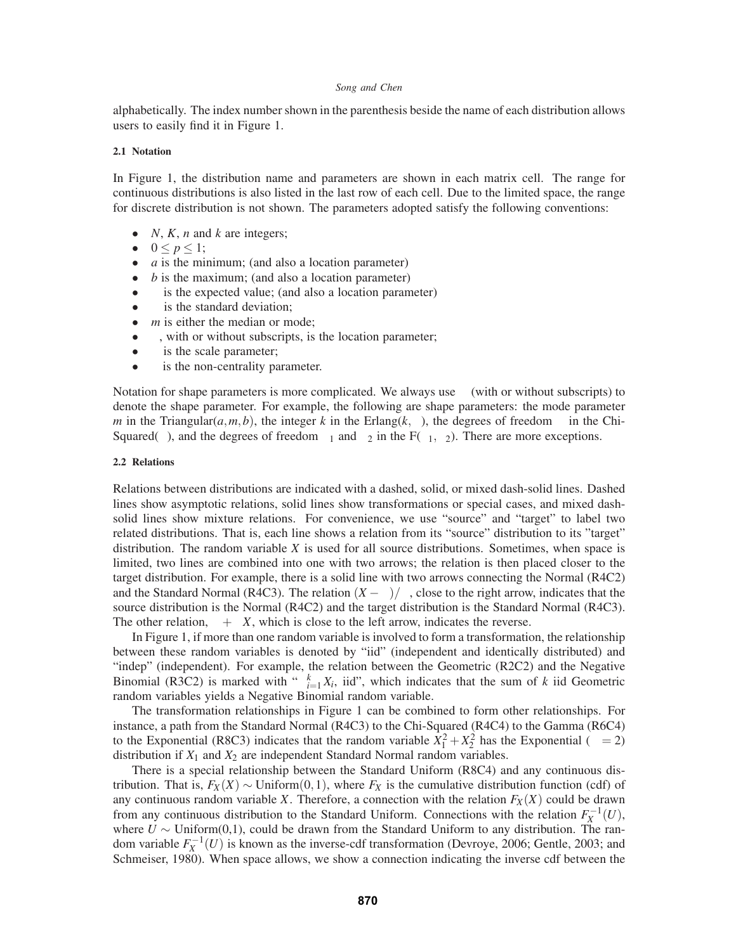alphabetically. The index number shown in the parenthesis beside the name of each distribution allows users to easily find it in Figure 1.

#### **2.1 Notation**

In Figure 1, the distribution name and parameters are shown in each matrix cell. The range for continuous distributions is also listed in the last row of each cell. Due to the limited space, the range for discrete distribution is not shown. The parameters adopted satisfy the following conventions:

- *N*, *K*, *n* and *k* are integers;
- $0 \le p \le 1$ ;
- *a* is the minimum; (and also a location parameter)
- *b* is the maximum; (and also a location parameter)
- $\mu$  is the expected value; (and also a location parameter)  $\sigma$  is the standard deviation;
- $\sigma$  is the standard deviation;
- *m* is either the median or mode;<br>•  $\theta$ , with or without subscripts, is
- $θ$ , with or without subscripts, is the location parameter;<br>
 $β$  is the scale parameter;
- $\beta$  is the scale parameter;<br>•  $\delta$  is the non-centrality pa
- $\delta$  is the non-centrality parameter.

Notation for shape parameters is more complicated. We always use  $\alpha$  (with or without subscripts) to denote the shape parameter. For example, the following are shape parameters: the mode parameter *m* in the Triangular( $a, m, b$ ), the integer k in the Erlang( $k, \beta$ ), the degrees of freedom v in the Chi-Squared(*v*), and the degrees of freedom  $v_1$  and  $v_2$  in the F( $v_1, v_2$ ). There are more exceptions.

### **2.2 Relations**

Relations between distributions are indicated with a dashed, solid, or mixed dash-solid lines. Dashed lines show asymptotic relations, solid lines show transformations or special cases, and mixed dashsolid lines show mixture relations. For convenience, we use "source" and "target" to label two related distributions. That is, each line shows a relation from its "source" distribution to its "target" distribution. The random variable *X* is used for all source distributions. Sometimes, when space is limited, two lines are combined into one with two arrows; the relation is then placed closer to the target distribution. For example, there is a solid line with two arrows connecting the Normal (R4C2) and the Standard Normal (R4C3). The relation  $(X - \mu)/\sigma$ , close to the right arrow, indicates that the source distribution is the Normal (R4C2) and the target distribution is the Standard Normal (R4C3). The other relation,  $\mu + \sigma X$ , which is close to the left arrow, indicates the reverse.

In Figure 1, if more than one random variable is involved to form a transformation, the relationship between these random variables is denoted by "iid" (independent and identically distributed) and "indep" (independent). For example, the relation between the Geometric (R2C2) and the Negative Binomial (R3C2) is marked with " $\sum_{i=1}^{k} X_i$ , iid", which indicates that the sum of *k* iid Geometric random variables yields a Negative Binomial random variable.

The transformation relationships in Figure 1 can be combined to form other relationships. For instance, a path from the Standard Normal (R4C3) to the Chi-Squared (R4C4) to the Gamma (R6C4) to the Exponential (R8C3) indicates that the random variable  $\bar{X}_1^2 + X_2^2$  has the Exponential ( $\beta = 2$ ) distribution if  $X_1$  and  $X_2$  are independent Standard Normal random variables.

There is a special relationship between the Standard Uniform (R8C4) and any continuous distribution. That is,  $F_X(X) \sim$  Uniform $(0,1)$ , where  $F_X$  is the cumulative distribution function (cdf) of any continuous random variable *X*. Therefore, a connection with the relation  $F_X(X)$  could be drawn from any continuous distribution to the Standard Uniform. Connections with the relation  $F_X^{-1}(U)$ , where  $U \sim$  Uniform(0,1), could be drawn from the Standard Uniform to any distribution. The random variable  $F_X^{-1}(U)$  is known as the inverse-cdf transformation (Devroye, 2006; Gentle, 2003; and Schmeiser, 1980). When space allows, we show a connection indicating the inverse cdf between the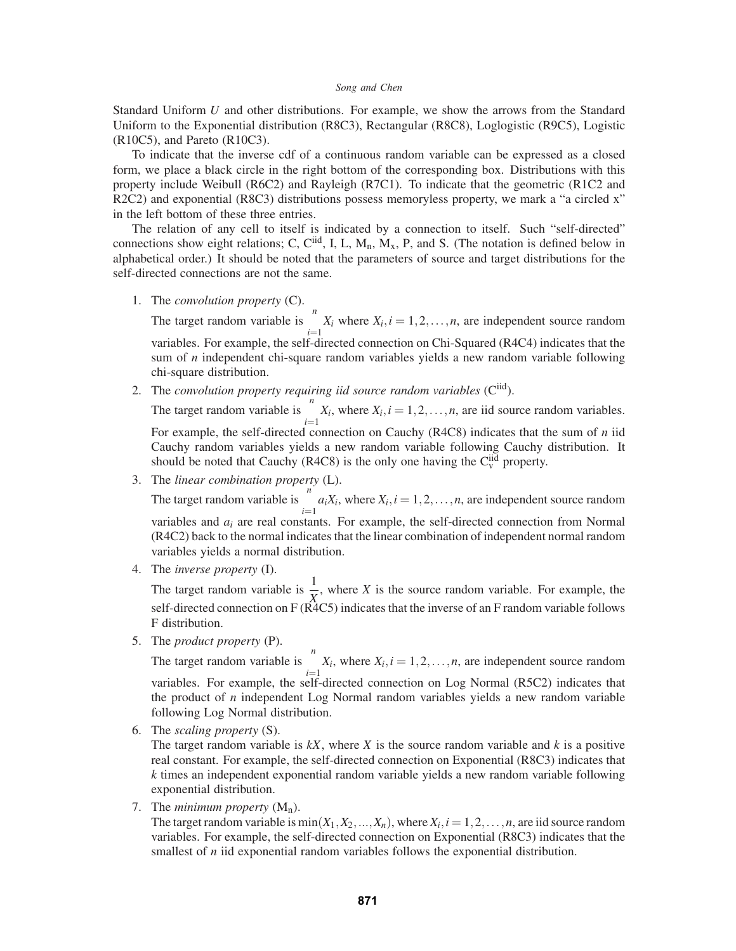Standard Uniform *U* and other distributions. For example, we show the arrows from the Standard Uniform to the Exponential distribution (R8C3), Rectangular (R8C8), Loglogistic (R9C5), Logistic (R10C5), and Pareto (R10C3).

To indicate that the inverse cdf of a continuous random variable can be expressed as a closed form, we place a black circle in the right bottom of the corresponding box. Distributions with this property include Weibull (R6C2) and Rayleigh (R7C1). To indicate that the geometric (R1C2 and R2C2) and exponential (R8C3) distributions possess memoryless property, we mark a "a circled x" in the left bottom of these three entries.

The relation of any cell to itself is indicated by a connection to itself. Such "self-directed" connections show eight relations; C, C<sup>iid</sup>, I, L, M<sub>n</sub>, M<sub>x</sub>, P, and S. (The notation is defined below in alphabetical order.) It should be noted that the parameters of source and target distributions for the self-directed connections are not the same.

1. The *convolution property* (C).

The target random variable is  $\sum_{i=1}^{n} X_i$  where  $X_i$ ,  $i = 1, 2, ..., n$ , are independent source random variables. For example, the self-directed connection on Chi-Squared (R4C4) indicates that the sum of *n* independent chi-square random variables yields a new random variable following chi-square distribution.

2. The *convolution property requiring iid source random variables* (Ciid). The target random variable is  $\sum_{i=1}^{n} X_i$ , where  $X_i$ ,  $i = 1, 2, ..., n$ , are iid source random variables. For example, the self-directed connection on Cauchy (R4C8) indicates that the sum of *n* iid

Cauchy random variables yields a new random variable following Cauchy distribution. It should be noted that Cauchy (R4C8) is the only one having the  $C_v^{iid}$  property.

3. The *linear combination property* (L).

The target random variable is  $\sum_{i=1}^{n} a_i X_i$ , where  $X_i$ ,  $i = 1, 2, ..., n$ , are independent source random variables and *ai* are real constants. For example, the self-directed connection from Normal (R4C2) back to the normal indicates that the linear combination of independent normal random variables yields a normal distribution.

4. The *inverse property* (I).

The target random variable is  $\frac{1}{X}$ , where *X* is the source random variable. For example, the self-directed connection on  $F(\hat{R}4C5)$  indicates that the inverse of an F random variable follows F distribution.

5. The *product property* (P).

The target random variable is  $\prod_{i=1}^{n} X_i$ , where  $X_i$ ,  $i = 1, 2, ..., n$ , are independent source random variables. For example, the self-directed connection on Log Normal (R5C2) indicates that the product of *n* independent Log Normal random variables yields a new random variable following Log Normal distribution.

6. The *scaling property* (S).

The target random variable is  $kX$ , where  $X$  is the source random variable and  $k$  is a positive real constant. For example, the self-directed connection on Exponential (R8C3) indicates that *k* times an independent exponential random variable yields a new random variable following exponential distribution.

7. The *minimum property*  $(M_n)$ .

The target random variable is  $min(X_1, X_2, ..., X_n)$ , where  $X_i$ ,  $i = 1, 2, ..., n$ , are iid source random variables. For example, the self-directed connection on Exponential (R8C3) indicates that the smallest of *n* iid exponential random variables follows the exponential distribution.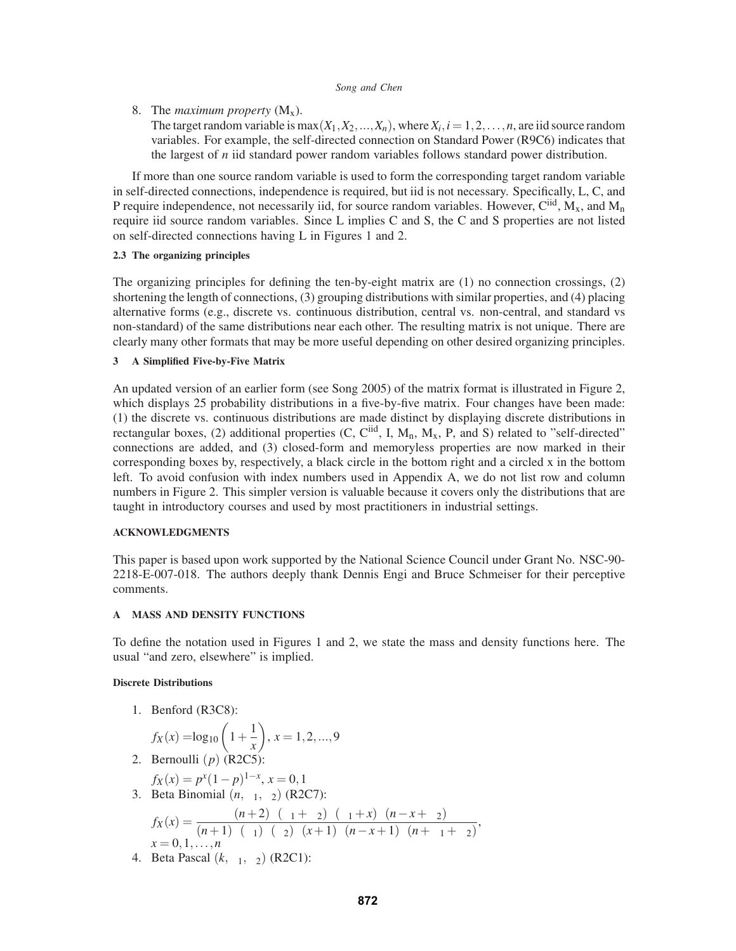8. The *maximum property* (Mx).

The target random variable is max $(X_1, X_2, ..., X_n)$ , where  $X_i$ ,  $i = 1, 2, ..., n$ , are iid source random variables. For example, the self-directed connection on Standard Power (R9C6) indicates that the largest of *n* iid standard power random variables follows standard power distribution.

If more than one source random variable is used to form the corresponding target random variable in self-directed connections, independence is required, but iid is not necessary. Specifically, L, C, and P require independence, not necessarily iid, for source random variables. However,  $C^{iid}$ ,  $M_x$ , and  $M_n$ require iid source random variables. Since L implies C and S, the C and S properties are not listed on self-directed connections having L in Figures 1 and 2.

# **2.3 The organizing principles**

The organizing principles for defining the ten-by-eight matrix are (1) no connection crossings, (2) shortening the length of connections, (3) grouping distributions with similar properties, and (4) placing alternative forms (e.g., discrete vs. continuous distribution, central vs. non-central, and standard vs non-standard) of the same distributions near each other. The resulting matrix is not unique. There are clearly many other formats that may be more useful depending on other desired organizing principles.

# **3 A Simplified Five-by-Five Matrix**

An updated version of an earlier form (see Song 2005) of the matrix format is illustrated in Figure 2, which displays 25 probability distributions in a five-by-five matrix. Four changes have been made: (1) the discrete vs. continuous distributions are made distinct by displaying discrete distributions in rectangular boxes, (2) additional properties (C, C<sup>iid</sup>, I, M<sub>n</sub>, M<sub>x</sub>, P, and S) related to "self-directed" connections are added, and (3) closed-form and memoryless properties are now marked in their corresponding boxes by, respectively, a black circle in the bottom right and a circled x in the bottom left. To avoid confusion with index numbers used in Appendix A, we do not list row and column numbers in Figure 2. This simpler version is valuable because it covers only the distributions that are taught in introductory courses and used by most practitioners in industrial settings.

# **ACKNOWLEDGMENTS**

This paper is based upon work supported by the National Science Council under Grant No. NSC-90- 2218-E-007-018. The authors deeply thank Dennis Engi and Bruce Schmeiser for their perceptive comments.

# **A MASS AND DENSITY FUNCTIONS**

To define the notation used in Figures 1 and 2, we state the mass and density functions here. The usual "and zero, elsewhere" is implied.

# **Discrete Distributions**

1. Benford (R3C8):

$$
f_X(x) = \log_{10}\left(1 + \frac{1}{x}\right), x = 1, 2, ..., 9
$$

2. Bernoulli (*p*) (R2C5):

$$
f_X(x) = p^x (1-p)^{1-x}, x = 0, 1
$$

3. Beta Binomial  $(n, \alpha_1, \alpha_2)$  (R2C7):

$$
f_X(x) = \frac{\Gamma(n+2)\Gamma(\alpha_1+\alpha_2)\Gamma(\alpha_1+x)\Gamma(n-x+\alpha_2)}{(n+1)\Gamma(\alpha_1)\Gamma(\alpha_2)\Gamma(x+1)\Gamma(n-x+1)\Gamma(n+\alpha_1+\alpha_2)},
$$
  
x = 0,1,...,n

4. Beta Pascal  $(k, \alpha_1, \alpha_2)$  (R2C1):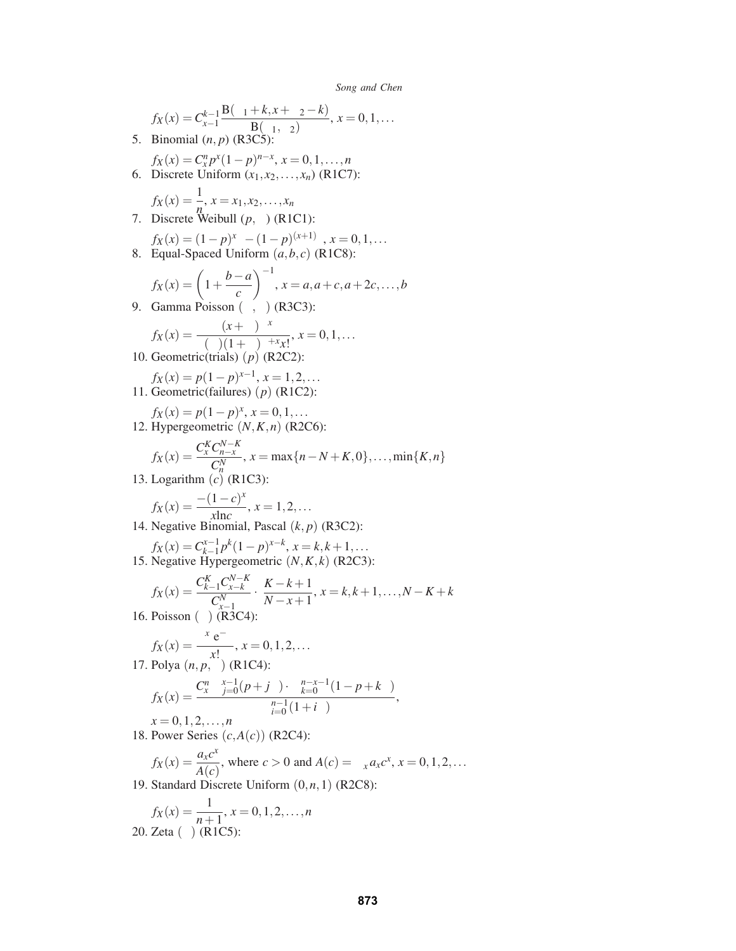$$
f_X(x) = C_{x-1}^{k-1} \frac{B(\alpha_1 + k, x + \alpha_2 - k)}{B(\alpha_1, \alpha_2)}, x = 0, 1, ...
$$
  
\n5. Binomial  $(n, p)$  (R3C5):  
\n
$$
f_X(x) = C_x^n p^x (1-p)^{n-x}, x = 0, 1, ..., n
$$
  
\n6. Discrete Uniform  $(x_1, x_2, ..., x_n)$  (R1C7):  
\n
$$
f_X(x) = \frac{1}{n}, x = x_1, x_2, ..., x_n
$$
  
\n7. Discrete Weibull  $(p, \alpha)$  (R1C1):  
\n
$$
f_X(x) = (1-p)^{x^{\alpha}} - (1-p)^{(x+1)^{\alpha}}, x = 0, 1, ...
$$
  
\n8. Equal-Spaced Uniform  $(a, b, c)$  (R1C8):  
\n
$$
f_X(x) = \left(1 + \frac{b-a}{c}\right)^{-1}, x = a, a+c, a+2c, ..., b
$$
  
\n9. Gamma Poisson  $(\alpha, \beta)$  (R3C3):  
\n
$$
f_X(x) = \frac{\Gamma(\alpha + \alpha)\beta^{\alpha}}{\Gamma(\alpha)(1 + \beta)^{\alpha + x}x!}, x = 0, 1, ...
$$
  
\n10. Geometric(fails)  $(p)$  (R2C2):  
\n
$$
f_X(x) = p(1-p)^{x-1}, x = 1, 2, ...
$$
  
\n11. Geometric(failures)  $(p)$  (R1C2):  
\n
$$
f_X(x) = \frac{C_x^K C_{n-x}^{N-x}}{C_n^N}, x = \max\{n - N + K, 0\}, ..., \min\{K, n\}
$$
  
\n13. Logarithm  $(c)$  (R1C3):  
\n
$$
f_X(x) = \frac{-(1-c)^x}{C_n^N}, x = 1, 2, ...
$$
  
\n14. Negative Binomial, Pascal  $(k, p)$  (R3C2):  
\n
$$
f_X(x) = \frac{C_{k-1}^k C_{k-k}^k}{C_{k-1}^k}, x = 1, 2, ...
$$
  
\n15. Negative Hypergeometric  $(N, K, k)$  (R2C3):  
\n $$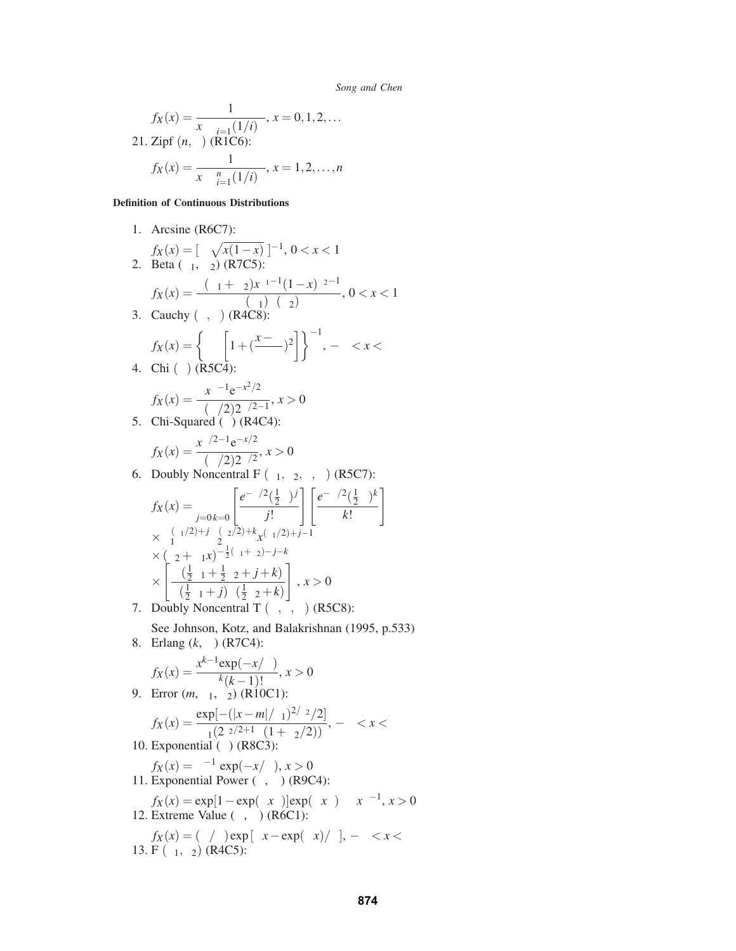$$
f_X(x) = \frac{1}{x^{\beta} \sum_{i=1}^{\infty} (1/i)^{\beta}}, x = 0, 1, 2, ...
$$
  
21. Zipf  $(n, \beta)$  (R1C6):  

$$
f_X(x) = \frac{1}{x^{\beta} \sum_{i=1}^n (1/i)^{\beta}}, x = 1, 2, ..., n
$$

## **Definition of Continuous Distributions**

1. Arcsine (R6C7):

$$
f_X(x) = [\pi \sqrt{x(1-x)}]^{-1}, 0 < x < 1
$$
  
2. Beta  $(\alpha_1, \alpha_2)$  (R7C5):

$$
f_X(x) = \frac{\Gamma(\alpha_1 + \alpha_2)x^{\alpha_1 - 1}(1 - x)^{\alpha_2 - 1}}{\Gamma(\alpha_1)\Gamma(\alpha_2)}, 0 < x < 1
$$

3. Cauchy  $(\theta, \beta)$  (R4C8):

$$
f_X(x) = \left\{ \beta \pi \left[ 1 + \left( \frac{x - \theta}{\beta} \right)^2 \right] \right\}^{-1}, -\infty < x < \infty
$$
  
4. Chi (v) (R5C4):

$$
f_X(x) = \frac{x^{v-1}e^{-x^2/2}}{\Gamma(v/2)2^{v/2-1}}, x > 0
$$

5. Chi-Squared  $(v)$  (R4C4):

$$
f_X(x) = \frac{x^{\nu/2 - 1} e^{-x/2}}{\Gamma(\nu/2) 2^{\nu/2}}, x > 0
$$

6. Doubly Noncentral F  $(v_1, v_2, \delta, \alpha)$  (R5C7):

$$
f_X(x) = \sum_{j=0}^{\infty} \sum_{k=0}^{\infty} \left[ \frac{e^{-\delta/2} (\frac{1}{2}\delta)^j}{j!} \right] \left[ \frac{e^{-\alpha/2} (\frac{1}{2}\alpha)^k}{k!} \right]
$$
  
\n
$$
\times v_1^{(v_1/2)+j} v_2^{(v_2/2)+k} x^{(v_1/2)+j-1}
$$
  
\n
$$
\times (v_2 + v_1 x)^{-\frac{1}{2}(v_1+v_2)-j-k}
$$
  
\n
$$
\times \left[ \frac{\Gamma(\frac{1}{2}v_1 + \frac{1}{2}v_2 + j + k)}{\Gamma(\frac{1}{2}v_1 + j)\Gamma(\frac{1}{2}v_2 + k)} \right], x > 0
$$

- 7. Doubly Noncentral T  $(v, \delta, \alpha)$  (R5C8):
- See Johnson, Kotz, and Balakrishnan (1995, p.533) 8. Erlang (*k*, β) (R7C4):

$$
f_X(x) = \frac{x^{k-1} \exp(-x/\beta)}{\beta^k (k-1)!}, x > 0
$$

9. Error  $(m, \theta_1, \theta_2)$  (R10C1):

$$
f_X(x) = \frac{\exp[-(|x-m|/\theta_1)^{2/\theta_2}/2]}{\theta_1(2^{\theta_2/2+1}\Gamma(1+\theta_2/2))}, \ -\infty < x < \infty
$$

10. Exponential  $(\beta)$  (R8C3):

 $f_X(x) = \beta^{-1} \exp(-x/\beta), x > 0$ 11. Exponential Power  $(\lambda, \alpha)$  (R9C4):  $f_X(x) = \exp[1 - \exp(\lambda x^{\alpha})] \exp(\lambda x^{\alpha}) \lambda \alpha x^{\alpha-1}, x > 0$ 

12. Extreme Value  $(α, β)$  (R6C1):

$$
f_X(x) = (\alpha/\beta) \exp [\alpha x - \exp(\alpha x)/\beta], -\infty < x < \infty
$$
  
13. F (v<sub>1</sub>, v<sub>2</sub>) (R4C5):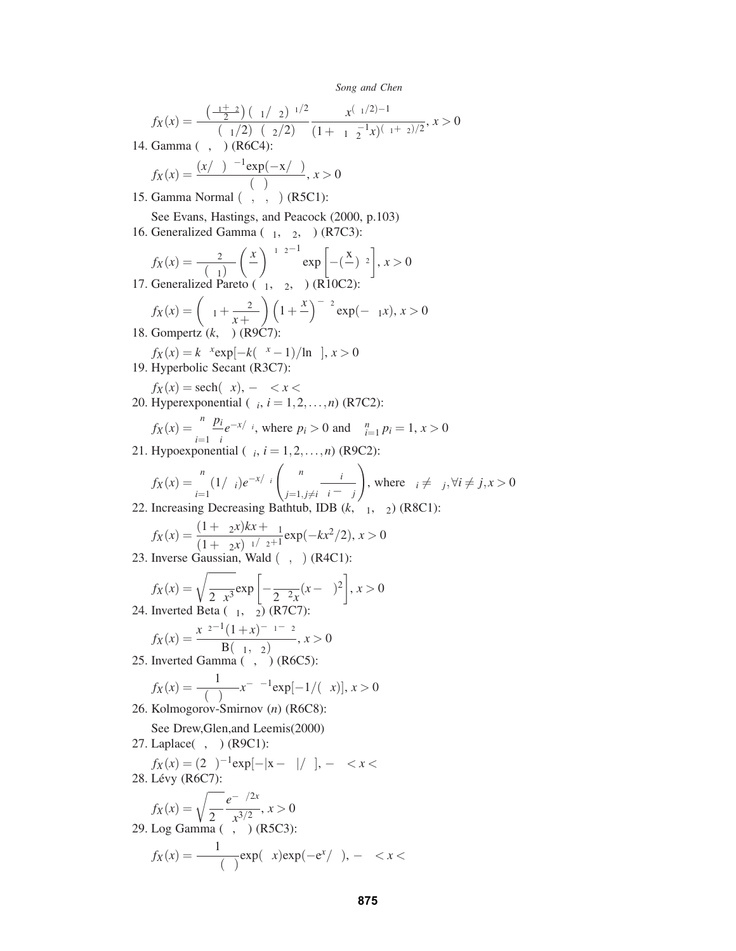$$
f_X(x) = \frac{\Gamma\left(\frac{\nu_1 + \nu_2}{2}\right) (\nu_1/\nu_2)^{\nu_1/2}}{\Gamma(\nu_1/2)\Gamma(\nu_2/2)} \frac{x^{(\nu_1/2)-1}}{(1+\nu_1\nu_2^{-1}x)^{(\nu_1+\nu_2)/2}}, x > 0
$$

14. Gamma  $(α, β)$  (R6C4):

$$
f_X(x) = \frac{(x/\beta)^{\alpha - 1} \exp(-x/\beta)}{\beta \Gamma(\alpha)}, x > 0
$$

- 15. Gamma Normal  $(μ, α, β)$  (R5C1):
- See Evans, Hastings, and Peacock (2000, p.103)
- 16. Generalized Gamma  $(\alpha_1, \alpha_2, \beta)$  (R7C3):

$$
f_X(x) = \frac{\alpha_2}{\Gamma(\alpha_1)\beta} \left(\frac{x}{\beta}\right)^{\alpha_1\alpha_2 - 1} \exp\left[-\left(\frac{x}{\beta}\right)^{\alpha_2}\right], x > 0
$$
  
17. Generalized Pareto  $(\alpha_1, \alpha_2, \theta)$  (R10C2):

$$
f_X(x) = \left(\alpha_1 + \frac{\alpha_2}{x + \theta}\right) \left(1 + \frac{x}{\theta}\right)^{-\alpha_2} \exp(-\alpha_1 x), x > 0
$$
  
18. Gompertz (*k*,  $\alpha$ ) (R9C7):

$$
f_X(x) = k\alpha^x \exp[-k(\alpha^x - 1)/\ln \alpha], x > 0
$$

- 19. Hyperbolic Secant (R3C7):
- $f_X(x) = \operatorname{sech}(\pi x), -\infty < x < \infty$ 20. Hyperexponential  $(\beta_i, i = 1, 2, \ldots, n)$  (R7C2):

$$
f_X(x) = \sum_{i=1}^n \frac{p_i}{\beta_i} e^{-x/\beta_i}
$$
, where  $p_i > 0$  and  $\sum_{i=1}^n p_i = 1, x > 0$   
21. Hypoexponential ( $\beta_i$ ,  $i = 1, 2, ..., n$ ) (R9C2):

*n*<sub>n</sub> *n n* 

$$
f_X(x) = \sum_{i=1}^n (1/\beta_i) e^{-x/\beta_i} \left( \prod_{j=1, j\neq i}^n \frac{\beta_i}{\beta_i - \beta_j} \right), \text{ where } \beta_i \neq \beta_j, \forall i \neq j, x > 0
$$
  
Increasing Decreasing Rathth b,  $\text{IPR}(k, \alpha_i, \alpha_0)$  (P8C1):

22. Increasing Decreasing Bathtub, IDB  $(k, \alpha_1, \alpha_2)$  (R8C1):

$$
f_X(x) = \frac{(1 + \alpha_2 x)kx + \alpha_1}{(1 + \alpha_2 x)^{\alpha_1/\alpha_2 + 1}} \exp(-kx^2/2), x > 0
$$

23. Inverse Gaussian, Wald  $(\mu, \beta)$  (R4C1):

$$
f_X(x) = \sqrt{\frac{\beta}{2\pi x^3}} \exp\left[-\frac{\beta}{2\mu^2 x}(x-\mu)^2\right], x > 0
$$
  
24. Inverted Beta  $(\alpha_1, \alpha_2)$  (R7C7):

$$
f_X(x) = \frac{x^{\alpha_2 - 1} (1 + x)^{-\alpha_1 - \alpha_2}}{B(\alpha_1, \alpha_2)}, x > 0
$$

25. Inverted Gamma  $(\alpha, \beta)$  (R6C5):

$$
f_X(x) = \frac{1}{\Gamma(\alpha)\beta^{\alpha}} x^{-\alpha - 1} \exp[-1/(\beta x)], x > 0
$$

26. Kolmogorov-Smirnov (*n*) (R6C8):

See Drew,Glen,and Leemis(2000)

27. Laplace( $\mu$ ,  $\beta$ ) (R9C1):

$$
f_X(x) = (2\beta)^{-1} \exp[-|x - \mu|/\beta], -\infty < x < \infty
$$
  
28. Lévy (R6C7):

$$
f_X(x) = \sqrt{\frac{\beta}{2\pi}} \frac{e^{-\beta/2x}}{x^{3/2}}, x > 0
$$
  
29. Log Gamma  $(\alpha, \beta)$  (R5C3):

$$
f_X(x) = \frac{1}{\beta^{\alpha} \Gamma(\alpha)} \exp(\alpha x) \exp(-e^x/\beta), -\infty < x < \infty
$$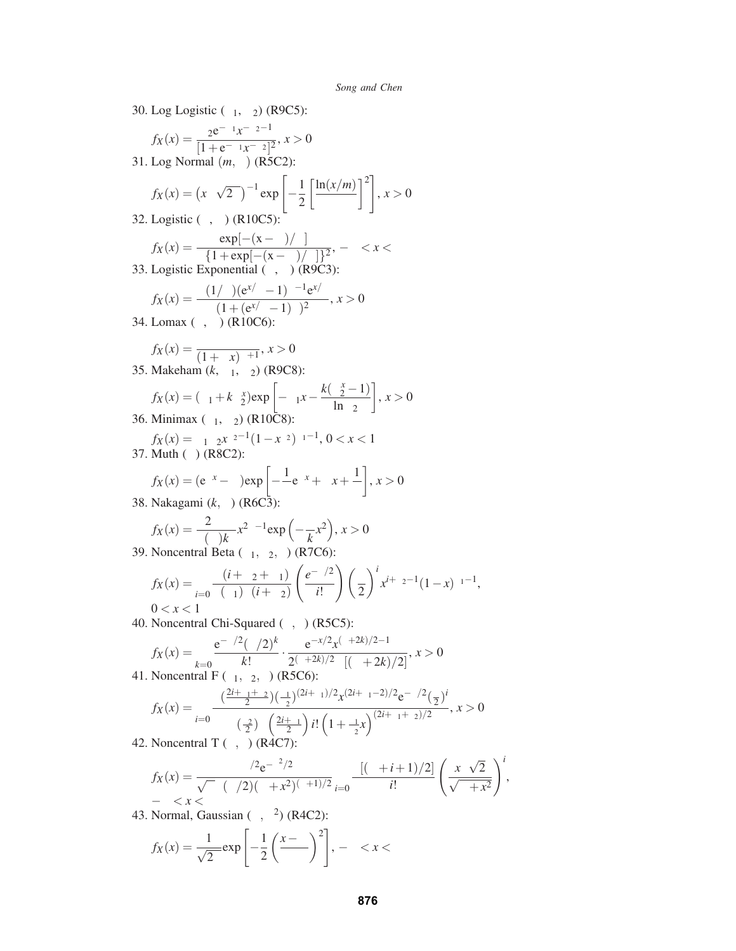30. Log Logistic  $(\alpha_1, \alpha_2)$  (R9C5):

$$
f_X(x) = \frac{\alpha_2 e^{-\alpha_1} x^{-\alpha_2 - 1}}{[1 + e^{-\alpha_1} x^{-\alpha_2}]^2}, x > 0
$$

31. Log Normal (*m*,α) (R5C2):

$$
f_X(x) = \left(x\alpha\sqrt{2\pi}\right)^{-1} \exp\left[-\frac{1}{2}\left[\frac{\ln(x/m)}{\alpha}\right]^2\right], x > 0
$$

32. Logistic  $(\mu, \beta)$  (R10C5):

$$
f_X(x) = \frac{\exp[-(x-\mu)/\beta]}{\beta \{1 + \exp[-(x-\mu)/\beta]\}^2}, -\infty < x < \infty
$$
  
33. Logistic Exponential  $(\alpha, \beta)$  (ROC3):

$$
f_X(x) = \frac{\alpha(1/\beta)(e^{x/\beta} - 1)^{\alpha - 1}e^{x/\beta}}{(1 + (e^{x/\beta} - 1)^{\alpha})^2}, x > 0
$$

34. Lomax  $(\lambda, \alpha)$  (R10C6):

$$
f_X(x) = \frac{\lambda \alpha}{(1 + \lambda x)^{\alpha + 1}}, x > 0
$$

35. Makeham  $(k, \alpha_1, \alpha_2)$  (R9C8):

$$
f_X(x) = (\alpha_1 + k\alpha_2^x) \exp\left[-\alpha_1 x - \frac{k(\alpha_2^x - 1)}{\ln \alpha_2}\right], x > 0
$$

36. Minimax  $(\alpha_1, \alpha_2)$  (R10C8):

$$
f_X(x) = \alpha_1 \alpha_2 x^{\alpha_2 - 1} (1 - x^{\alpha_2})^{\alpha_1 - 1}, 0 < x < 1
$$
\n37. Muth (α) (R8C2):

$$
f_X(x) = (e^{\alpha x} - \alpha) \exp\left[ -\frac{1}{\alpha} e^{\alpha x} + \alpha x + \frac{1}{\alpha} \right], x > 0
$$

38. Nakagami (*k*,α) (R6C3):

$$
f_X(x) = \frac{2\alpha^{\alpha}}{\Gamma(\alpha)k^{\alpha}} x^{2\alpha - 1} \exp\left(-\frac{\alpha}{k}x^2\right), x > 0
$$
  
Noncentral Beta ( $\alpha$ ,  $\alpha$ ,  $\delta$ ) (B7C6).

39. Noncentral Beta  $(\alpha_1, \alpha_2, \delta)$  (R7C6):

$$
f_X(x) = \sum_{i=0}^{\infty} \frac{\Gamma(i + \alpha_2 + \alpha_1)}{\Gamma(\alpha_1)\Gamma(i + \alpha_2)} \left(\frac{e^{-\delta/2}}{i!}\right) \left(\frac{\delta}{2}\right)^i x^{i+\alpha_2-1} (1-x)^{\alpha_1-1},
$$
  
0 < x < 1

40. Noncentral Chi-Squared (υ, δ) (R5C5):

$$
f_X(x) = \sum_{k=0}^{\infty} \frac{e^{-\delta/2} (\delta/2)^k}{k!} \cdot \frac{e^{-x/2} x^{(v+2k)/2 - 1}}{2^{(v+2k)/2} \Gamma[(v+2k)/2]}, x > 0
$$
  
Noncentral F (v<sub>1</sub>, v<sub>2</sub>, \delta<sub>1</sub> (R5C6):

41. Noncentral F (<sup>υ</sup>1,<sup>υ</sup>2,δ) (R5C6):

$$
f_X(x) = \sum_{i=0}^{\infty} \frac{\Gamma(\frac{2i+v_1+v_2}{2})(\frac{v_1}{v_2})^{(2i+v_1)/2} x^{(2i+v_1-2)/2} e^{-\delta/2} (\frac{\delta}{2})^i}{\Gamma(\frac{v_2}{2})\Gamma(\frac{2i+v_1}{2}) i! \left(1 + \frac{v_1}{v_2} x\right)^{(2i+v_1+v_2)/2}}, x > 0
$$

42. Noncentral T  $(v, \delta)$  (R4C7):

$$
f_X(x) = \frac{\upsilon^{\nu/2} e^{-\delta^2/2}}{\sqrt{\pi} \Gamma(\upsilon/2) (\upsilon + x^2)^{(\upsilon + 1)/2}} \sum_{i=0}^{\infty} \frac{\Gamma[(\upsilon + i + 1)/2]}{i!} \left(\frac{x\delta\sqrt{2}}{\sqrt{\upsilon + x^2}}\right)^i,
$$

43. Normal, Gaussian  $(\mu, \sigma^2)$  (R4C2):

$$
f_X(x) = \frac{1}{\sqrt{2\pi}} \exp\left[-\frac{1}{2}\left(\frac{x-\mu}{\sigma}\right)^2\right], -\infty < x < \infty
$$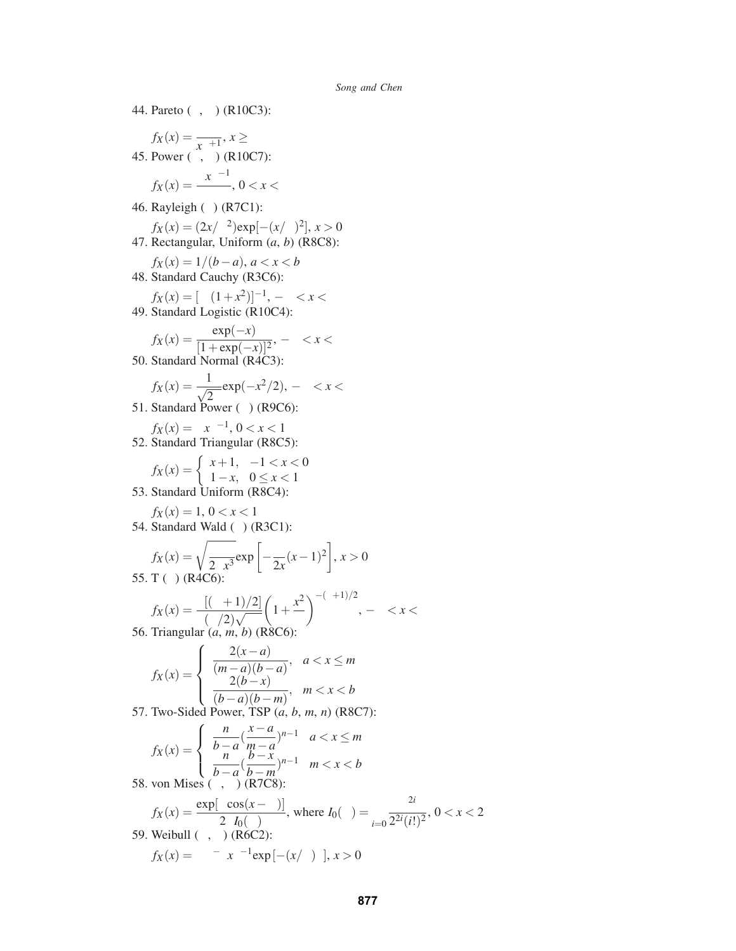44. Pareto  $(\theta, \alpha)$  (R10C3):  $f_X(x) = \frac{\alpha \theta^{\alpha}}{x^{\alpha+1}}, x \ge \theta$ 45. Power  $(\alpha, \beta)$  (R10C7):  $f_X(x) = \frac{\alpha x^{\alpha-1}}{\beta^{\alpha}}, 0 < x < \beta$ 46. Rayleigh  $(\beta)$  (R7C1):  $f_X(x) = (2x/\beta^2) \exp[-(x/\beta)^2], x > 0$ 47. Rectangular, Uniform (*a*, *b*) (R8C8):  $f_X(x) = 1/(b-a), a < x < b$ 48. Standard Cauchy (R3C6):  $f_X(x) = [\pi (1+x^2)]^{-1}, -∞ < x < ∞$ 49. Standard Logistic (R10C4): *fx*(*x*) =  $\frac{\exp(-x)}{[1+\exp(-x)]^2}$ , −∞ < *x* < ∞ 50. Standard Normal (R4C3):  $f_X(x) = \frac{1}{\sqrt{2\pi}} \exp(-x^2/2), -\infty < x < \infty$ 51. Standard Power  $(\alpha)$  (R9C6):  $f_X(x) = \alpha x^{\alpha-1}, 0 < x < 1$ 52. Standard Triangular (R8C5):  $f_X(x) = \begin{cases} x+1, & -1 < x < 0 \\ 1, & x \le 0 \end{cases}$ 1−*x*,  $0 \le x < 1$ 53. Standard Uniform (R8C4):  $f_X(x) = 1, 0 < x < 1$ 54. Standard Wald  $(\beta)$  (R3C1):  $f_X(x) = \sqrt{\frac{\beta}{2\pi x^3}} \exp \left[ -\frac{\beta}{2x}(x-1)^2 \right], x > 0$ 55. T (υ) (R4C6):  $f_X(x) = \frac{\Gamma[(\nu+1)/2]}{\Gamma(\nu/2)\sqrt{\pi\nu}}$  $\left(1+\frac{x^2}{\sqrt{2}}\right)$ υ  $\bigwedge^{-(v+1)/2}$ 56. Triangular (*a*, *m*, *b*) (R8C6):  $f_X(x) =$  $\sqrt{ }$  $\int$  $\overline{\mathcal{L}}$ 2(*x*−*a*)  $\frac{2(x-a)}{(m-a)(b-a)}, \quad a < x \leq m$ 2(*b*−*x*)  $\frac{2(b-x)}{(b-a)(b-m)}$ , *m* < *x* < *b* 57. Two-Sided Power, TSP (*a*, *b*, *m*, *n*) (R8C7):  $\int$   $\frac{n}{\sqrt{x-a}}$ 

$$
f_X(x) = \begin{cases} \frac{n}{b-a} (\frac{x-a}{m-a})^{n-1} & a < x \le m \\ \frac{n}{b-a} (\frac{b-x}{b-m})^{n-1} & m < x < b \end{cases}
$$
\n58. von Mises  $(\alpha, \mu)$  (R7C8):

$$
f_X(x) = \frac{\exp[\alpha \cos(x - \mu)]}{2\pi I_0(\alpha)}, \text{ where } I_0(\alpha) = \sum_{i=0}^{\infty} \frac{\alpha^{2i}}{2^{2i}(i!)^2}, 0 < x < 2\pi
$$
  
59. Weibull  $(\alpha, \beta)$  (R6C2):  

$$
f_X(x) = \alpha \beta^{-\alpha} x^{\alpha-1} \exp[-(x/\beta)^{\alpha}], x > 0
$$

, −∞ < *x* < ∞